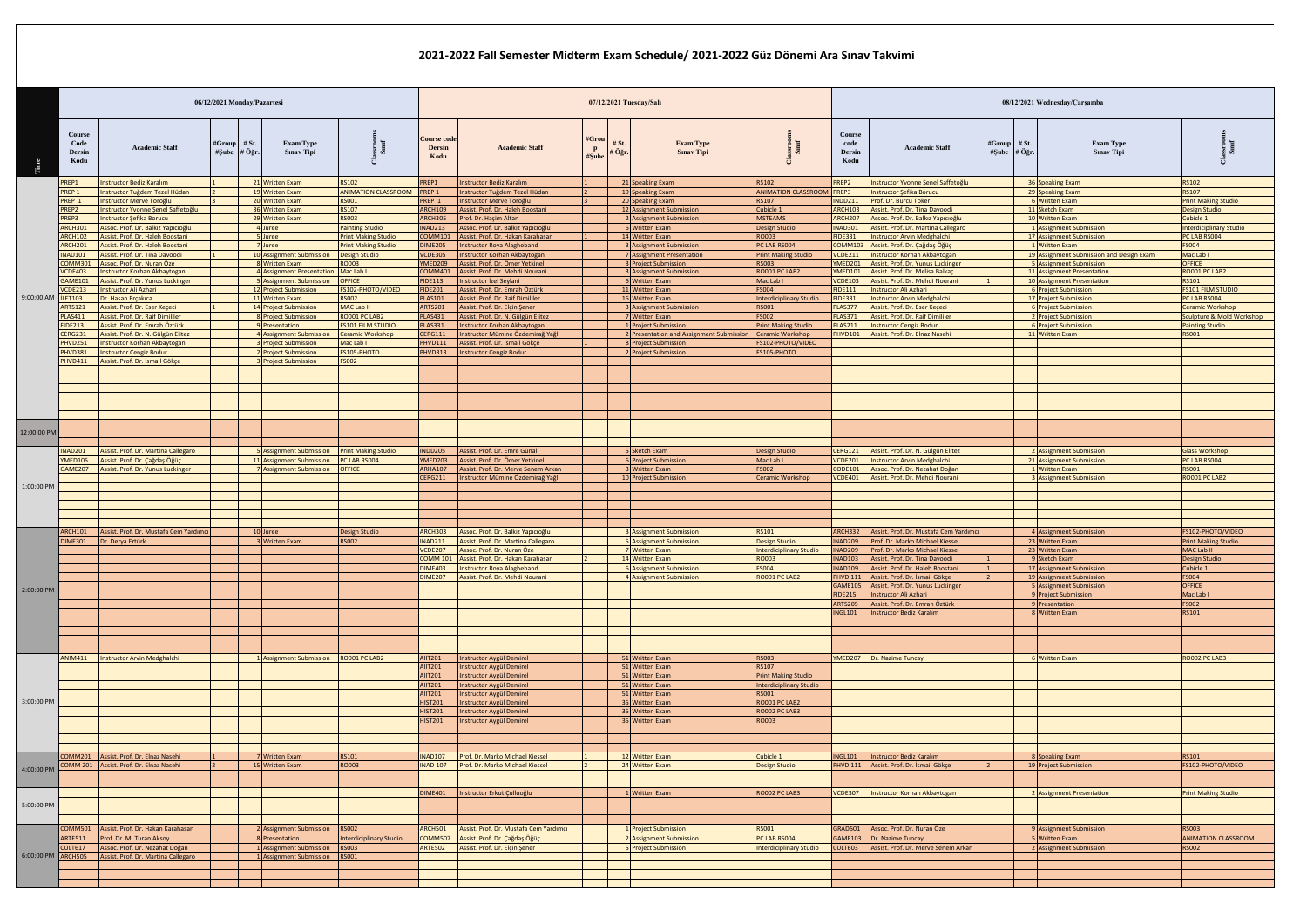|                    |                                                                                                                                                            |                                                                                                                                                                                                                                                                                                                                                                         | 06/12/2021 Monday/Pazartesi |                                                                                                                                                                                                                                                                                                                                                                                                                                                                                                                                                                |                                                                                                                                                                                                                                                                                         |                                                                                                                                                                                                                                                                                                                                      | 07/12/2021 Tuesday/Salı                                                                                                                      |                                                                                                                                                                                                                                                                                                                                       |                                                                                                                                                                                   |                                                                                                                                                                                                                                                                                |                                                                                                                                                                                                                                                                                                                                                                  |                                                                                                                                       | 08/12/2021 Wednesday/Carşamba                                                                                                                                                                                                                                                              |                                                                                                                                                                                                 |                                                                                                                                                                                                                              |                                                                                                                                                        |  |  |  |  |
|--------------------|------------------------------------------------------------------------------------------------------------------------------------------------------------|-------------------------------------------------------------------------------------------------------------------------------------------------------------------------------------------------------------------------------------------------------------------------------------------------------------------------------------------------------------------------|-----------------------------|----------------------------------------------------------------------------------------------------------------------------------------------------------------------------------------------------------------------------------------------------------------------------------------------------------------------------------------------------------------------------------------------------------------------------------------------------------------------------------------------------------------------------------------------------------------|-----------------------------------------------------------------------------------------------------------------------------------------------------------------------------------------------------------------------------------------------------------------------------------------|--------------------------------------------------------------------------------------------------------------------------------------------------------------------------------------------------------------------------------------------------------------------------------------------------------------------------------------|----------------------------------------------------------------------------------------------------------------------------------------------|---------------------------------------------------------------------------------------------------------------------------------------------------------------------------------------------------------------------------------------------------------------------------------------------------------------------------------------|-----------------------------------------------------------------------------------------------------------------------------------------------------------------------------------|--------------------------------------------------------------------------------------------------------------------------------------------------------------------------------------------------------------------------------------------------------------------------------|------------------------------------------------------------------------------------------------------------------------------------------------------------------------------------------------------------------------------------------------------------------------------------------------------------------------------------------------------------------|---------------------------------------------------------------------------------------------------------------------------------------|--------------------------------------------------------------------------------------------------------------------------------------------------------------------------------------------------------------------------------------------------------------------------------------------|-------------------------------------------------------------------------------------------------------------------------------------------------------------------------------------------------|------------------------------------------------------------------------------------------------------------------------------------------------------------------------------------------------------------------------------|--------------------------------------------------------------------------------------------------------------------------------------------------------|--|--|--|--|
|                    | <b>Course</b><br>Code<br>Dersin<br>Kodu                                                                                                                    | <b>Academic Staff</b>                                                                                                                                                                                                                                                                                                                                                   | #Group<br>#Sube             | $#$ St.<br>$#$ Öğr.                                                                                                                                                                                                                                                                                                                                                                                                                                                                                                                                            | <b>Exam Type</b><br><b>Sinav Tipi</b>                                                                                                                                                                                                                                                   |                                                                                                                                                                                                                                                                                                                                      | <b>Course cod</b><br><b>Dersin</b><br>Kodu                                                                                                   | <b>Academic Staff</b>                                                                                                                                                                                                                                                                                                                 | #Grou<br># St.<br>$\mathbf{p}$<br>⊧ Öğr<br>#Sub                                                                                                                                   | <b>Exam Type</b><br><b>Sinav Tipi</b>                                                                                                                                                                                                                                          |                                                                                                                                                                                                                                                                                                                                                                  | Course<br>code<br><b>Dersin</b><br>Kodu                                                                                               | <b>Academic Staff</b>                                                                                                                                                                                                                                                                      | #Group<br>#Şube                                                                                                                                                                                 | $#$ St.<br><b>Exam Type</b><br>$#$ Öğr<br><b>Sinav Tipi</b>                                                                                                                                                                  |                                                                                                                                                        |  |  |  |  |
|                    | <b>REP1</b><br>PREP <sub>1</sub><br>PREP <sub>1</sub><br>PREP2<br>PREP3<br>ARCH301<br><b>ARCH102</b><br><b>RCH201</b><br><b>NAD101</b><br>COMM301          | <b>Instructor Bediz Karalım</b><br>Instructor Tuğdem Tezel Hüdan<br><b>Instructor Merve Toroğlu</b><br>Instructor Yvonne Şenel Saffetoğlu<br><b>Instructor Sefika Borucu</b><br>Assoc. Prof. Dr. Balkız Yapıcıoğlu<br>Assist, Prof. Dr. Haleh Boostani<br>Assist, Prof. Dr. Haleh Boostani<br>Assist. Prof. Dr. Tina Davoodi<br>Assoc. Prof. Dr. Nuran Öze              |                             | 21 Written Exam<br><b>RS102</b><br>PREP1<br>19 Written Exam<br><b>ANIMATION CLASSROOM</b><br>REP <sub>1</sub><br>20 Written Exam<br><b>RS001</b><br>REP <sub>1</sub><br><b>RS107</b><br>36 Written Exam<br><b>ARCH109</b><br><b>RS003</b><br>29 Written Exam<br>ARCH305<br>4 Juree<br><b>Painting Studio</b><br><b>NAD213</b><br>5 Juree<br><b>Print Making Studio</b><br>COMM101<br><b>Print Making Studio</b><br>7 Juree<br><b>DIME205</b><br>10 Assignment Submission<br><b>CDE305</b><br><b>Design Studio</b><br>RO003<br>8 Written Exam<br><b>YMED209</b> |                                                                                                                                                                                                                                                                                         | <b>Instructor Bediz Karalım</b><br>Instructor Tuğdem Tezel Hüdan<br>nstructor Merve Toroğlu<br>Assist. Prof. Dr. Haleh Boostani<br>rof. Dr. Hasim Altan<br>ssoc. Prof. Dr. Balkız Yapıcıoğlu<br>ssist. Prof. Dr. Hakan Karahasan<br>structor Roya Alagheband<br><b>istructor Korhan Akbaytogan</b><br>ssist. Prof. Dr. Ömer Yetkinel |                                                                                                                                              | 21 Speaking Exam<br>19 Speaking Exam<br>20 Speaking Exam<br>12 Assignment Submission<br><b>Assignment Submission</b><br><b>Written Exam</b><br>14 Written Exam<br><b>Assignment Submission</b><br><b>Assignment Presentation</b><br><b>Project Submission</b>                                                                         | <b>RS102</b><br><b>ANIMATION CLASSROOM</b><br><b>RS107</b><br>Cubicle 1<br><b>MSTEAMS</b><br>Design Studio<br>RO003<br>PC LAB RS004<br><b>Print Making Studio</b><br><b>RS003</b> | PREP2<br>PREP3<br><b>NDD211</b><br><b>ARCH103</b><br>ARCH207<br><b>NAD301</b><br><b>FIDE331</b><br><b>COMM103</b><br><b>VCDE211</b><br>YMED201                                                                                                                                 | Instructor Yvonne Şenel Saffetoğlu<br><b>Instructor Şefika Borucu</b><br>Prof. Dr. Burcu Toker<br>Assist. Prof. Dr. Tina Davoodi<br>Assoc. Prof. Dr. Balkız Yapıcıoğlu<br>Assist. Prof. Dr. Martina Callegaro<br><b>Instructor Arvin Medghalchi</b><br>Assist. Prof. Dr. Çağdaş Öğüç<br><b>Instructor Korhan Akbaytogan</b><br>Assist. Prof. Dr. Yunus Luckinger |                                                                                                                                       | 36 Speaking Exam<br>29 Speaking Exam<br>6 Written Exam<br>11 Sketch Exam<br>10 Written Exam<br>1 Assignment Submission<br>17 Assignment Submission<br>1 Written Exam<br>19 Assignment Submission and Design Exam<br>5 Assignment Submission                                                | <b>RS102</b><br><b>RS107</b><br><b>Print Making Studio</b><br><b>Design Studio</b><br>Cubicle 1<br><b>Interdiciplinary Studio</b><br>PC LAB RS004<br><b>FS004</b><br>Mac Lab I<br><b>OFFICE</b> |                                                                                                                                                                                                                              |                                                                                                                                                        |  |  |  |  |
| 9:00:00 AM         | <b>CDE403</b><br>GAME101<br>/CDE213<br><b>LET103</b><br><b>ARTS121</b><br><b>LAS411</b><br><b>IDE213</b><br><b>CERG231</b><br>PHVD251<br>PHVD381<br>HVD411 | <b>Instructor Korhan Akbaytogan</b><br>Assist. Prof. Dr. Yunus Luckinger<br>nstructor Ali Azhari<br>Dr. Hasan Erçakıca<br>Assist. Prof. Dr. Eser Kececi<br>Assist, Prof. Dr. Raif Dimililer<br>Assist, Prof. Dr. Emrah Öztürk<br>Assist. Prof. Dr. N. Gülgün Elitez<br>Instructor Korhan Akbaytogan<br><b>Instructor Cengiz Bodur</b><br>Assist. Prof. Dr. İsmail Gökçe |                             |                                                                                                                                                                                                                                                                                                                                                                                                                                                                                                                                                                | 4 Assignment Presentation Mac Lab I<br>5 Assignment Submission<br>12 Project Submission<br>11 Written Exam<br>14 Project Submission<br>8 Project Submission<br>9 Presentation<br>4 Assignment Submission<br>3 Project Submission<br>2 Project Submission<br><b>3</b> Project Submission | <b>OFFICE</b><br>FS102-PHOTO/VIDEO<br><b>RS002</b><br><b>MAC Lab II</b><br><b>RO001 PC LAB2</b><br><b>FS101 FILM STUDIO</b><br><b>Ceramic Workshop</b><br>Mac Lab I<br>FS105-PHOTO<br><b>FS002</b>                                                                                                                                   | COMM401<br>IDE113<br><b>FIDE201</b><br><b>PLAS101</b><br><b>ARTS201</b><br><b>PLAS431</b><br><b>PLAS331</b><br>CERG111<br>HVD111<br>HVD313   | ssist. Prof. Dr. Mehdi Nourani<br>nstructor İzel Seylani<br>ssist. Prof. Dr. Emrah Öztürk<br>ssist. Prof. Dr. Raif Dimililer<br>ssist. Prof. Dr. Elçin Şener<br>Assist. Prof. Dr. N. Gülgün Elitez<br><b>istructor Korhan Akbaytogan</b><br>structor Mümine Özdemirağ Yağlı<br>ssist. Prof. Dr. İsmail Gökçe<br>structor Cengiz Bodur |                                                                                                                                                                                   | <b>Assignment Submission</b><br><b>Written Exam</b><br>Written Exam<br>16 Written Exam<br><b>Assignment Submission</b><br><b>Written Exam</b><br><b>Project Submission</b><br>Presentation and Assignment Submission<br><b>Project Submission</b><br><b>Project Submission</b> | RO001 PC LAB2<br>Mac Lab I<br><b>FS004</b><br><b>Interdiciplinary Studio</b><br>RS001<br><b>FS002</b><br><b>Print Making Studio</b><br>Ceramic Workshop<br>S102-PHOTO/VIDEO<br>FS105-PHOTO                                                                                                                                                                       | YMED101<br><b>VCDE103</b><br><b>FIDE111</b><br><b>FIDE331</b><br><b>PLAS377</b><br><b>PLAS371</b><br><b>PLAS211</b><br><b>PHVD101</b> | Assist. Prof. Dr. Melisa Balkaç<br>Assist. Prof. Dr. Mehdi Nourani<br>nstructor Ali Azhari<br><b>Instructor Arvin Medghalchi</b><br>Assist. Prof. Dr. Eser Kececi<br>Assist, Prof. Dr. Raif Dimililer<br><b>Instructor Cengiz Bodur</b><br>Assist. Prof. Dr. Elnaz Nasehi                  |                                                                                                                                                                                                 | 11 Assignment Presentation<br>10 Assignment Presentation<br><b>6</b> Project Submission<br>17 Project Submission<br><b>Project Submission</b><br><b>Project Submission</b><br><b>6</b> Project Submission<br>11 Written Exam | RO001 PC LAB2<br>RS101<br><b>FS101 FILM STUDIO</b><br>PC LAB RS004<br>Ceramic Workshop<br>Sculpture & Mold Workshop<br><b>Painting Studio</b><br>RS001 |  |  |  |  |
| 12:00:00 PM        | <b>NAD201</b><br>/MED105<br>GAME207                                                                                                                        | Assist. Prof. Dr. Martina Callegaro<br>Assist. Prof. Dr. Çağdaş Öğüç<br>Assist. Prof. Dr. Yunus Luckinger                                                                                                                                                                                                                                                               |                             |                                                                                                                                                                                                                                                                                                                                                                                                                                                                                                                                                                | 5 Assignment Submission<br>11 Assignment Submission<br>7 Assignment Submission                                                                                                                                                                                                          | <b>Print Making Studio</b><br>PC LAB RS004<br><b>OFFICE</b>                                                                                                                                                                                                                                                                          | <b>NDD205</b><br>YMED203<br><b>ARHA107</b><br>ERG211                                                                                         | ssist. Prof. Dr. Emre Günal<br>ssist. Prof. Dr. Ömer Yetkinel<br>ssist. Prof. Dr. Merve Senem Arkan<br>structor Mümine Özdemirağ Yağlı                                                                                                                                                                                                |                                                                                                                                                                                   | 5 Sketch Exam<br><b>Project Submission</b><br><b>Written Exam</b><br><b>Project Submission</b>                                                                                                                                                                                 | Design Studio<br>Mac Lab I<br><b>FS002</b><br>eramic Workshop                                                                                                                                                                                                                                                                                                    | <b>CERG121</b><br><b>VCDE201</b><br><b>CODE101</b><br><b>VCDE401</b>                                                                  | Assist. Prof. Dr. N. Gülgün Elitez<br>Instructor Arvin Medghalchi<br>Assoc. Prof. Dr. Nezahat Doğan<br>Assist. Prof. Dr. Mehdi Nourani                                                                                                                                                     |                                                                                                                                                                                                 | 2 Assignment Submission<br>21 Assignment Submission<br>1 Written Exam<br><b>Assignment Submission</b>                                                                                                                        | <b>Glass Workshop</b><br>PC LAB RS004<br><b>RS001</b><br>RO001 PC LAB2                                                                                 |  |  |  |  |
| 1:00:00 PM         | <b>ARCH101</b><br>DIME301                                                                                                                                  | Assist, Prof. Dr. Mustafa Cem Yardımcı<br>Dr. Derya Ertürk                                                                                                                                                                                                                                                                                                              |                             |                                                                                                                                                                                                                                                                                                                                                                                                                                                                                                                                                                | 10 Juree<br>3 Written Exam                                                                                                                                                                                                                                                              | <b>Design Studio</b><br><b>RS002</b>                                                                                                                                                                                                                                                                                                 | <b>ARCH303</b><br><b>INAD211</b>                                                                                                             | Assoc. Prof. Dr. Balkız Yapıcıoğlu<br>Assist. Prof. Dr. Martina Callegaro                                                                                                                                                                                                                                                             |                                                                                                                                                                                   | <b>Assignment Submission</b><br>5 Assignment Submission                                                                                                                                                                                                                        | RS101<br>Design Studio                                                                                                                                                                                                                                                                                                                                           | ARCH332<br><b>NAD209</b>                                                                                                              | Assist. Prof. Dr. Mustafa Cem Yardımcı<br>Prof. Dr. Marko Michael Kiessel                                                                                                                                                                                                                  |                                                                                                                                                                                                 | 4 Assignment Submission<br>23 Written Exam                                                                                                                                                                                   | FS102-PHOTO/VIDEO<br><b>Print Making Studio</b>                                                                                                        |  |  |  |  |
| 2:00:00 PM         |                                                                                                                                                            |                                                                                                                                                                                                                                                                                                                                                                         |                             |                                                                                                                                                                                                                                                                                                                                                                                                                                                                                                                                                                |                                                                                                                                                                                                                                                                                         |                                                                                                                                                                                                                                                                                                                                      | <b>CDE207</b><br>COMM <sub>101</sub><br><b>DIME403</b>                                                                                       | Assoc. Prof. Dr. Nuran Öze<br>ssist. Prof. Dr. Hakan Karahasan<br>nstructor Roya Alagheband<br>IME207   Assist. Prof. Dr. Mehdi Nourani                                                                                                                                                                                               |                                                                                                                                                                                   | <b>Written Exam</b><br>14 Written Exam<br>6 Assignment Submission<br><b>Assignment Submission</b>                                                                                                                                                                              | Interdiciplinary Studio<br><b>RO003</b><br><b>FS004</b><br>RO001 PC LAB2                                                                                                                                                                                                                                                                                         | <b>NAD209</b><br><b>NAD103</b><br><b>NAD109</b><br><b>FIDE215</b><br><b>ARTS205</b><br><b>NGL101</b>                                  | Prof. Dr. Marko Michael Kiessel<br>Assist. Prof. Dr. Tina Davoodi<br>Assist. Prof. Dr. Haleh Boostan<br>PHVD 111 Assist. Prof. Dr. Ismail Gökçe<br>GAME105 Assist. Prof. Dr. Yunus Luckinger<br>Instructor Ali Azhari<br>Assist. Prof. Dr. Emrah Öztürk<br><b>Instructor Bediz Karalım</b> |                                                                                                                                                                                                 | 23 Written Exam<br>9 Sketch Exam<br>17 Assignment Submission<br>19 Assignment Submission<br>5 Assignment Submission<br>9 Project Submission<br>9 Presentation<br>Written Exam                                                | MAC Lab II<br><b>Design Studio</b><br>Cubicle 1<br>FS004<br>OFFICE<br>Mac Lab I<br>FS002<br>RS101                                                      |  |  |  |  |
| 3:00:00 PM         |                                                                                                                                                            | <b>NIM411</b>   Instructor Arvin Medghalchi                                                                                                                                                                                                                                                                                                                             |                             |                                                                                                                                                                                                                                                                                                                                                                                                                                                                                                                                                                | 1 Assignment Submission RO001 PC LAB2                                                                                                                                                                                                                                                   |                                                                                                                                                                                                                                                                                                                                      | <b>AIIT201</b><br><b>AIIT201</b><br><b>AIIT201</b><br><b>AIIT201</b><br><b>AIIT201</b><br><b>HIST201</b><br><b>HIST201</b><br><b>HIST201</b> | Instructor Aygül Demirel<br>Instructor Aygül Demirel<br>Instructor Aygül Demirel<br>Instructor Aygül Demirel<br>Instructor Aygül Demirel<br>Instructor Aygül Demirel<br>Instructor Aygül Demirel<br>Instructor Aygül Demirel                                                                                                          |                                                                                                                                                                                   | 51 Written Exam<br>51 Written Exam<br>51 Written Exam<br>51 Written Exam<br>51 Written Exam<br>35 Written Exam<br>35 Written Exam<br>35 Written Exam                                                                                                                           | <b>RS003</b><br><b>RS107</b><br><b>Print Making Studio</b><br>Interdiciplinary Studio<br>RS001<br>RO001 PC LAB2<br>RO002 PC LAB3<br>RO003                                                                                                                                                                                                                        |                                                                                                                                       | YMED207 Dr. Nazime Tuncay                                                                                                                                                                                                                                                                  |                                                                                                                                                                                                 | <b>Written Exam</b>                                                                                                                                                                                                          | RO002 PC LAB3                                                                                                                                          |  |  |  |  |
| 4:00:00 PM         |                                                                                                                                                            | OMM201 Assist. Prof. Dr. Elnaz Nasehi<br>COMM 201 Assist. Prof. Dr. Elnaz Nasehi                                                                                                                                                                                                                                                                                        |                             |                                                                                                                                                                                                                                                                                                                                                                                                                                                                                                                                                                | 7 Written Exam<br>15 Written Exam                                                                                                                                                                                                                                                       | <b>RS101</b><br>RO003                                                                                                                                                                                                                                                                                                                | <b>INAD107</b><br><b>INAD 107</b>                                                                                                            | Prof. Dr. Marko Michael Kiessel<br>Prof. Dr. Marko Michael Kiessel                                                                                                                                                                                                                                                                    |                                                                                                                                                                                   | 12 Written Exam<br>24 Written Exam                                                                                                                                                                                                                                             | Cubicle 1<br><b>Design Studio</b>                                                                                                                                                                                                                                                                                                                                | <b>NGL101</b>                                                                                                                         | <b>Instructor Bediz Karalım</b><br>PHVD 111 Assist. Prof. Dr. İsmail Gökçe                                                                                                                                                                                                                 |                                                                                                                                                                                                 | 8 Speaking Exam<br>19 Project Submission                                                                                                                                                                                     | RS101<br>FS102-PHOTO/VIDEO                                                                                                                             |  |  |  |  |
| 5:00:00 PM         |                                                                                                                                                            |                                                                                                                                                                                                                                                                                                                                                                         |                             |                                                                                                                                                                                                                                                                                                                                                                                                                                                                                                                                                                |                                                                                                                                                                                                                                                                                         |                                                                                                                                                                                                                                                                                                                                      | <b>DIME401</b>                                                                                                                               | Instructor Erkut Çulluoğlu                                                                                                                                                                                                                                                                                                            |                                                                                                                                                                                   | Written Exam                                                                                                                                                                                                                                                                   | RO002 PC LAB3                                                                                                                                                                                                                                                                                                                                                    |                                                                                                                                       | VCDE307   Instructor Korhan Akbaytogan                                                                                                                                                                                                                                                     |                                                                                                                                                                                                 | 2 Assignment Presentation                                                                                                                                                                                                    | <b>Print Making Studio</b>                                                                                                                             |  |  |  |  |
| 6:00:00 PM ARCH505 | <b>ARTE511</b><br><b>ULT617</b>                                                                                                                            | OMM501 Assist. Prof. Dr. Hakan Karahasan<br>Prof. Dr. M. Turan Aksoy<br>Assoc. Prof. Dr. Nezahat Doğan<br>Assist. Prof. Dr. Martina Callegaro                                                                                                                                                                                                                           |                             |                                                                                                                                                                                                                                                                                                                                                                                                                                                                                                                                                                | 2 Assignment Submission<br>8 Presentation<br>1 Assignment Submission<br>1 Assignment Submission RS001                                                                                                                                                                                   | <b>RS002</b><br><b>Interdiciplinary Studio</b><br><b>RS003</b>                                                                                                                                                                                                                                                                       | <b>ARCH501</b><br>:OMM507<br><b>ARTE502</b>                                                                                                  | ssist. Prof. Dr. Mustafa Cem Yardımcı<br><u> Assist. Prof. Dr. Çağdaş Öğüç</u><br>Assist. Prof. Dr. Elçin Şener                                                                                                                                                                                                                       |                                                                                                                                                                                   | <b>Project Submission</b><br>Assignment Submission<br><b>Project Submission</b>                                                                                                                                                                                                | RS001<br>PC LAB RS004<br>nterdiciplinary Studio                                                                                                                                                                                                                                                                                                                  | GRAD501<br><b>GAME103</b><br><b>CULT603</b>                                                                                           | Assoc. Prof. Dr. Nuran Öze<br>Dr. Nazime Tuncay<br>Assist. Prof. Dr. Merve Senem Arkan                                                                                                                                                                                                     |                                                                                                                                                                                                 | <b>Assignment Submission</b><br><b>Written Exam</b><br><b>Assignment Submission</b>                                                                                                                                          | <b>RS003</b><br><b>ANIMATION CLASSROOM</b><br><b>RS002</b>                                                                                             |  |  |  |  |

## **2021-2022 Fall Semester Midterm Exam Schedule/ 2021-2022 Güz Dönemi Ara Sınav Takvimi**